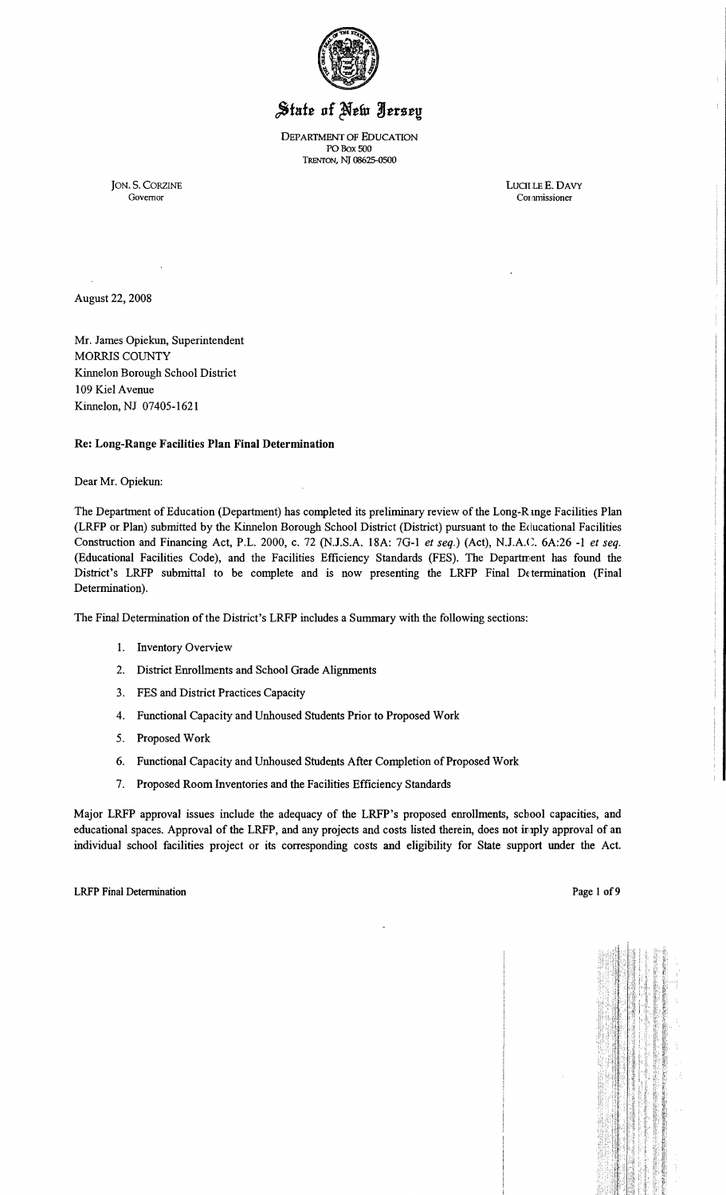

# State of New Jersey

DEPARTMENT OF EDUCATION POBox 500 TRENTON, NI 08625-0500

JON. S. CORZINE LUCILLE E. DAVY Governor Coramissioner Cor amissioner

÷.

August 22, 2008

Mr. James Opiekun, Superintendent MORRIS COUNTY Kinnelon Borough School District 109 Kiel Avenue Kinnelon, NJ 07405-1621

#### Re: Long-Range Facilities Plan Final Determination

Dear Mr. Opiekun:

The Department of Education (Department) has completed its preliminary review of the Long-R mge Facilities Plan (LRFP or. Plan) submitted by the Kinnelon Borough School District (District) pursuant to the Educational Facilities Construction and Financing Act, P.L. 2000, c. 72 (NJ.S.A. 18A: 7G-I *et seq.)* (Act), NJ.A.C. 6A:26 -1 *et seq.*  (Educational Facilities Code), and the Facilities Efficiency Standards (FES). The Department has found the District's LRFP submittal to be complete and is now presenting the LRFP Final Determination (Final Determination).

The Final Determination of the District's LRFP includes a Summary with the following sections:

- I. Inventory Overview
- 2. District Enrollments and School Grade Alignments
- 3. FES and District Practices Capacity
- 4. Functional Capacity and Unhoused Students Prior to Proposed Work
- 5. Proposed Work
- 6. Functional Capacity and Unhoused Students After Completion of Proposed Work
- 7. Proposed Room Inventories and the Facilities Efficiency Standards

Major LRFP approval issues include the adequacy of the LRFP's proposed enrollments, school capacities, and educational spaces. Approval of the LRFP, and any projects and costs listed therein, does not imply approval of an individual school facilities project or its corresponding costs and eligibility for State support under the Act.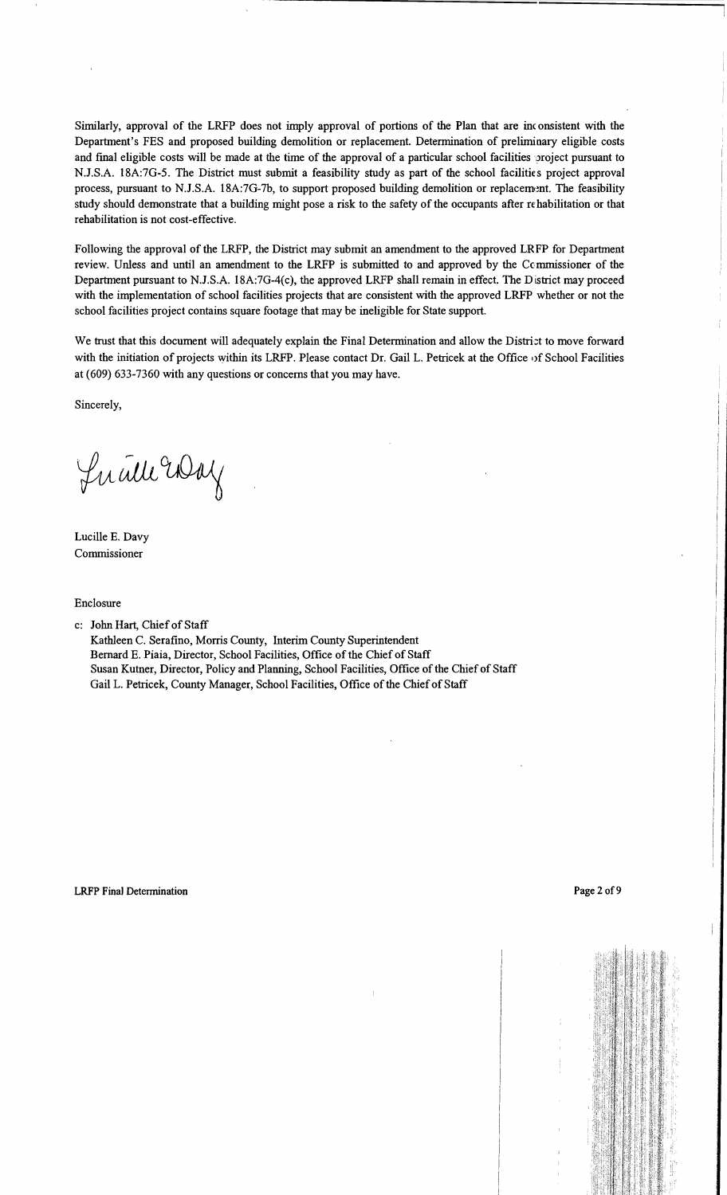Similarly, approval of the LRFP does not imply approval of portions of the Plan that are inc onsistent with the Department's FES and proposed building demolition or replacement. Determination of preliminary eligible costs and final eligible costs will be made at the time of the approval of a particular school facilities project pursuant to N.J.S.A. 18A:7G-5. The District must submit a feasibility study as part of the school facilities project approval process, pursuant to N.J.S.A. 18A:7G-7b, to support proposed building demolition or replacement. The feasibility study should demonstrate that a building might pose a risk to the safety of the occupants after rehabilitation or that rehabilitation is not cost-effective.

Following the approval of the LRFP, the District may submit an amendment to the approved LRFP for Department review. Unless and until an amendment to the LRFP is submitted to and approved by the Commissioner of the Department pursuant to N.J.S.A. 18A:7G-4(c), the approved LRFP shall remain in effect. The District may proceed with the implementation of school facilities projects that are consistent with the approved LRFP whether or not the school facilities project contains square footage that may be ineligible for State support.

We trust that this document will adequately explain the Final Determination and allow the District to move forward with the initiation of projects within its LRFP. Please contact Dr. Gail L. Petricek at the Office of School Facilities at (609) 633-7360 with any questions or concerns that you may have.

Sincerely,

Lucille Way

Lucille E. Davy Commissioner

Enclosure

c: John Hart, Chief of Staff

Kathleen C. Serafino, Morris County, Interim County Superintendent Bernard E. Piaia, Director, School Facilities, Office of the Chief of Staff Susan Kutner, Director, Policy and Planning, School Facilities, Office ofthe Chief of Staff Gail L. Petricek, County Manager, School Facilities, Office of the Chief of Staff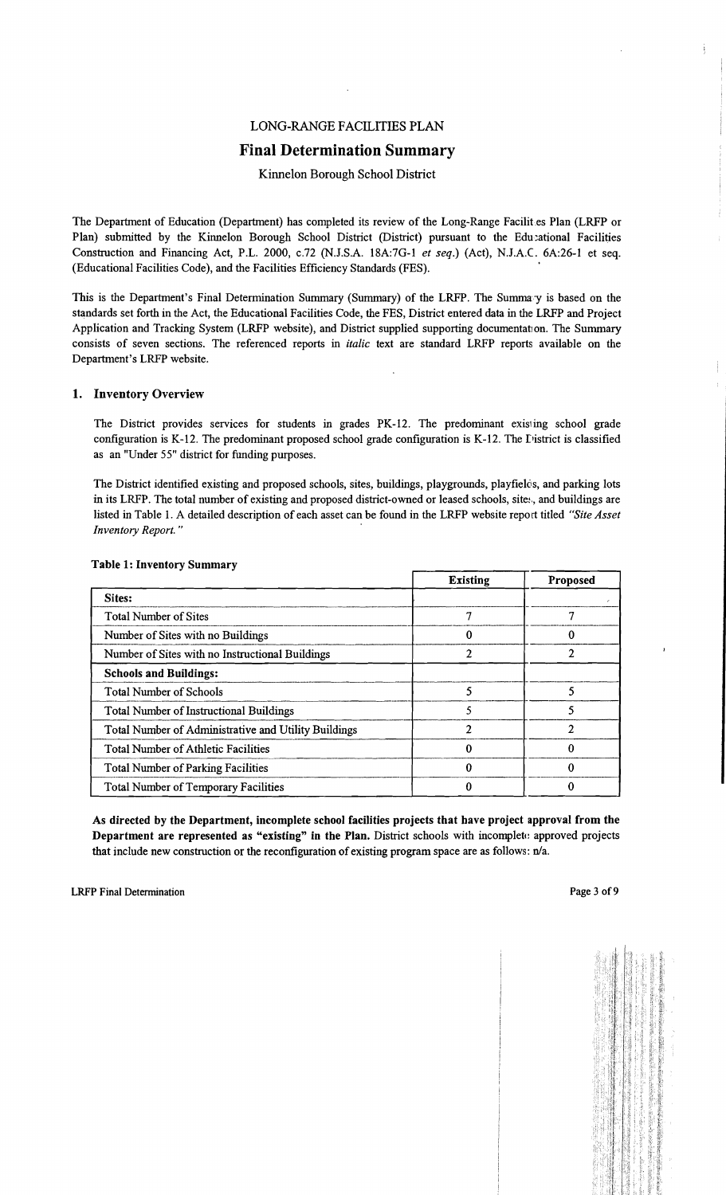# LONG-RANGE FACILITIES PLAN

# Final Determination Summary

## Kinnelon Borough School District

The Department of Education (Department) has completed its review of the Long-Range Facilit es Plan (LRFP or Plan) submitted by the Kinnelon Borough School District (District) pursuant to the Edu:ational Facilities Construction and Financing Act, P.L. 2000, c.72 (N.J.S.A. 18A:7G-1 *et seq.)* (Act), NJ.A.C. 6A:26-1 et seq. (Educational Facilities Code), and the Facilities Efficiency Standards (FES). .

This is the Department's Final Determination Summary (Summary) of the LRFP. The Summary is based on the standards set forth in the Act, the Educational Facilities Code, the FES, District entered data in the LRFP and Project Application and Tracking System (LRFP website), and District supplied supporting documentation. The Summary consists of seven sections. The referenced reports in *italic* text are standard LRFP reports available on the Department's LRFP website.

#### 1. Inventory Overview

The District provides services for students in grades PK-12. The predominant existing school grade configuration is K-12. The predominant proposed school grade configuration is K-12. The District is classified as an "Under 55" district for funding purposes.

The District identified existing and proposed schools, sites, buildings, playgrounds, playfielos, and parking lots in its LRFP. The total number of existing and proposed district-owned or leased schools, site:, and buildings are listed in Table 1. A detailed description of each asset can be found in the LRFP website report titled *"Site Asset Inventory Report.*"

|                                                      | <b>Existing</b> | Proposed |
|------------------------------------------------------|-----------------|----------|
| Sites:                                               |                 |          |
| <b>Total Number of Sites</b>                         |                 | ŋ        |
| Number of Sites with no Buildings                    |                 | 0        |
| Number of Sites with no Instructional Buildings      | ን               |          |
| <b>Schools and Buildings:</b>                        |                 |          |
| <b>Total Number of Schools</b>                       |                 | 5        |
| <b>Total Number of Instructional Buildings</b>       |                 | 5        |
| Total Number of Administrative and Utility Buildings | າ               | າ        |
| <b>Total Number of Athletic Facilities</b>           | 0               |          |
| <b>Total Number of Parking Facilities</b>            |                 |          |
| <b>Total Number of Temporary Facilities</b>          |                 |          |

#### Table 1: Inventory Summary

As directed by the Department, incomplete school facilities projects that have project approval from the Department are represented as "existing" in the Plan. District schools with incomplete: approved projects that include new construction or the reconfiguration of existing program space are as follows:  $n/a$ .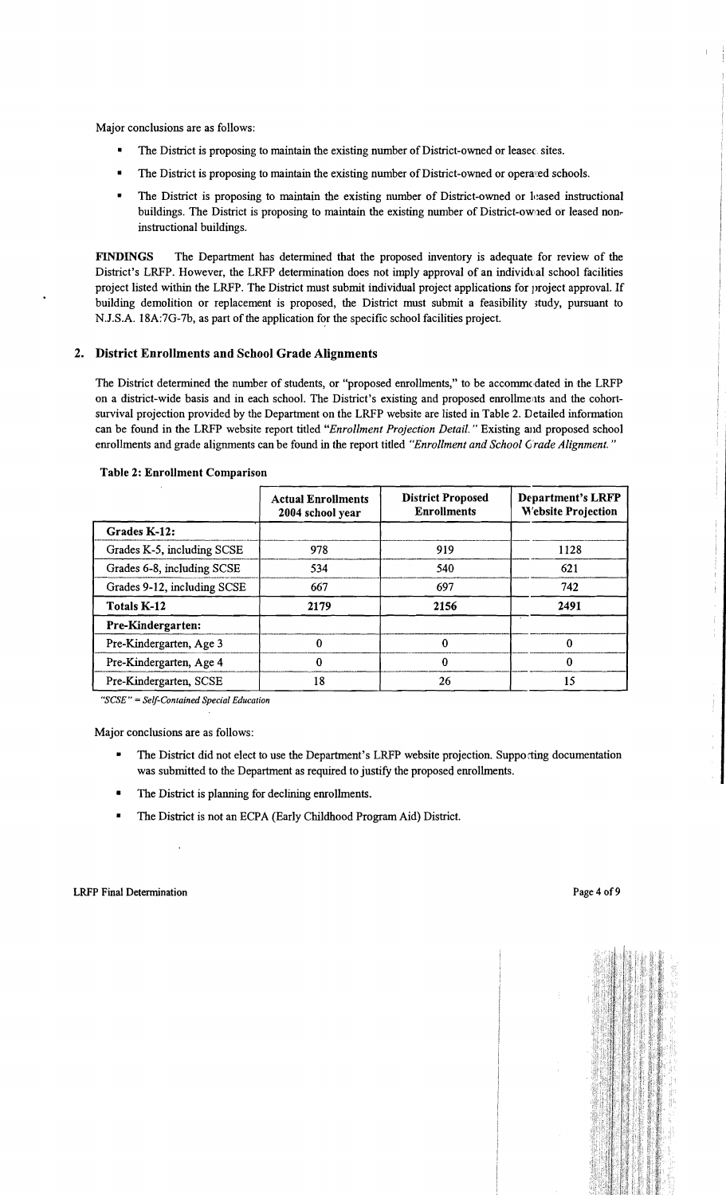Major conclusions are as follows:

- The District is proposing to maintain the existing number of District-owned or leasec sites.
- The District is proposing to maintain the existing number of District-owned or operated schools.
- The District is proposing to maintain the existing number of District-owned or leased instructional buildings. The District is proposing to maintain the existing number of District-owned or leased noninstructional buildings.

FINDINGS The Department has determined that the proposed inventory is adequate for review of the District's LRFP. However, the LRFP determination does not imply approval of an individval school facilities project listed within the LRFP. The District must submit individual project applications for project approval. If building demolition or replacement is proposed, the District must submit a feasibility ;tudy, pursuant to N.J.S.A. 18A:7G-7b, as part of the application for the specific school facilities project.

#### 2. District Enrollments and School Grade Alignments

The District determined the number of students, or "proposed enrollments," to be accommodated in the LRFP on a district-wide basis and in each school. The District's existing and proposed enrollments and the cohortsurvival projection provided by the Department on the LRFP website are listed in Table 2. Detailed information can be found in the LRFP website report titled *"Enrol/ment Projection Detail.* " Existing and proposed school emollments and grade alignments can be found in the report titled *"Enrol/ment and School Grade Alignment. "* 

|                             | <b>Actual Enrollments</b><br>2004 school year | <b>District Proposed</b><br><b>Enrollments</b> | <b>Department's LRFP</b><br><b>Website Projection</b> |
|-----------------------------|-----------------------------------------------|------------------------------------------------|-------------------------------------------------------|
| Grades K-12:                |                                               |                                                |                                                       |
| Grades K-5, including SCSE  | 978                                           | 919                                            | 1128                                                  |
| Grades 6-8, including SCSE  | 534                                           | 540                                            | 621                                                   |
| Grades 9-12, including SCSE | 667                                           | 697                                            | 742                                                   |
| <b>Totals K-12</b>          | 2179                                          | 2156                                           | 2491                                                  |
| Pre-Kindergarten:           |                                               |                                                |                                                       |
| Pre-Kindergarten, Age 3     | 0                                             | 0                                              | 0                                                     |
| Pre-Kindergarten, Age 4     |                                               | 0                                              | 0                                                     |
| Pre-Kindergarten, SCSE      | 18                                            | 26                                             | 15                                                    |

#### Table 2: Enrollment Comparison

"SCSE" = Self-Contained Special Education

Major conclusions are as follows:

- The District did not elect to use the Department's LRFP website projection. Supporting documentation was submitted to the Department as required to justify the proposed enrollments.
- The District is planning for declining enrollments.
- The District is not an ECPA (Early Childhood Program Aid) District.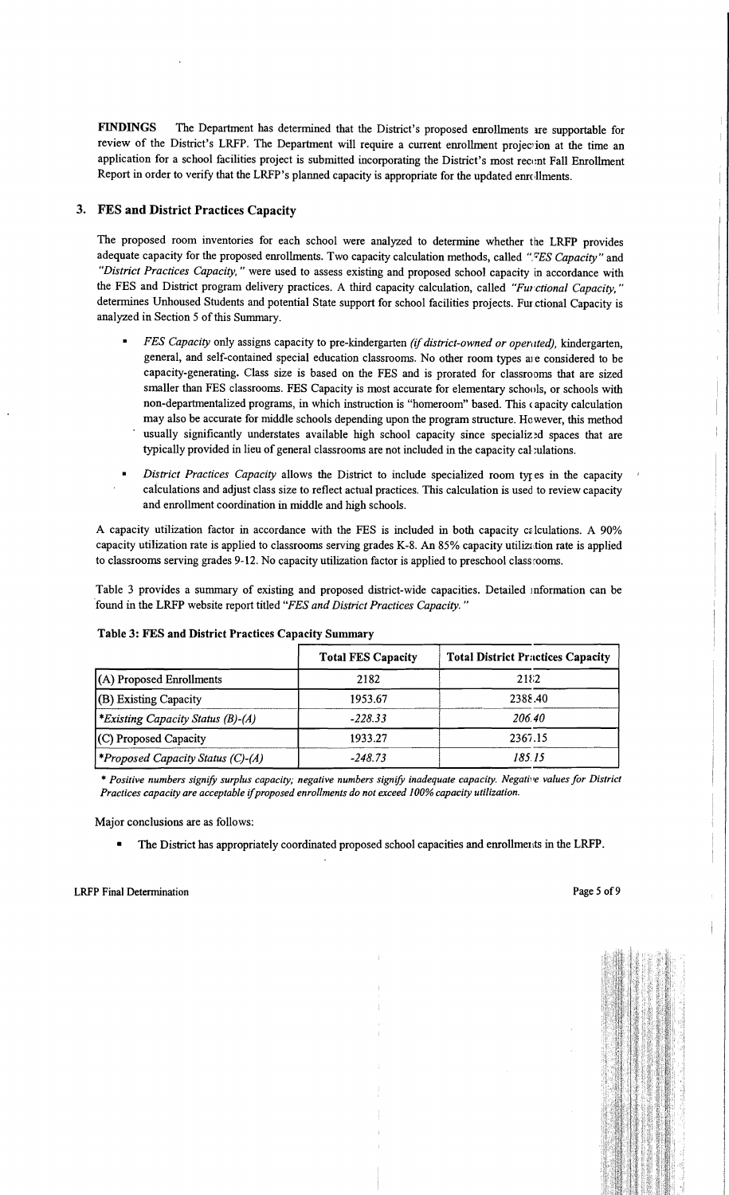FINDINGS The Department has determined that the District's proposed enrollments ire supportable for review of the District's LRFP. The Department will require a current enrollment projection at the time an application for a school facilities project is submitted incorporating the District's most recent Fall Enrollment Report in order to verify that the LRFP's planned capacity is appropriate for the updated enrollments.

## 3. FES and District Practices Capacity

The proposed room inventories for each school were analyzed to determine whether the LRFP provides adequate capacity for the proposed enrollments. Two capacity calculation methods, called "*FES Capacity*" and *"District Practices Capacity,* " were used to assess existing and proposed school capacity in accordance with the FES and District program delivery practices. A third capacity calculation, called "Functional Capacity," determines Unhoused Students and potential State support for school facilities projects. Fur ctional Capacity is analyzed in Section 5 of this Summary.

- *FES Capacity only assigns capacity to pre-kindergarten (if district-owned or operated), kindergarten,* general, and self-contained special education classrooms. No other room types are considered to be capacity-generating. Class size is based on the FES and is prorated for classrooms that are sized smaller than FES classrooms. FES Capacity is most accurate for elementary schools, or schools with non-departmentalized programs, in which instruction is "homeroom" based. This ( apacity calculation may also be accurate for middle schools depending upon the program structure. However, this method usually significantly understates available high school capacity since specialized spaces that are typically provided in lieu of general classrooms are not included in the capacity calculations.
- *District Practices Capacity* allows the District to include specialized room types in the capacity calculations and adjust class size to reflect actual practices. This calculation is used to review capacity and enrollment coordination in middle and high schools.

A capacity utilization factor in accordance with the FES is included in both capacity calculations. A 90% capacity utilization rate is applied to classrooms serving grades K-8. An 85% capacity utilization rate is applied to classrooms serving grades 9-12. No capacity utilization factor is applied to preschool class rooms.

Table 3 provides a summary of existing and proposed district-wide capacities. Detailed mformation can be 'found in the LRFP website report titled *"FES and District Practices Capacity. "* 

|                                                 | <b>Total FES Capacity</b> | <b>Total District Practices Capacity</b> |
|-------------------------------------------------|---------------------------|------------------------------------------|
| $(A)$ Proposed Enrollments                      | 2182                      | 2182                                     |
| (B) Existing Capacity                           | 1953.67                   | 2388.40                                  |
| <i>*Existing Capacity Status (B)-(A)</i>        | $-228.33$                 | 206.40                                   |
| (C) Proposed Capacity                           | 1933.27                   | 2367.15                                  |
| <i><b>*Proposed Capacity Status (C)-(A)</b></i> | $-248.73$                 | 185.15                                   |

## Table 3: FES and District Practices Capacity Summary

\* Positive numbers signify surplus capacity; negative numbers signify inadequate capacity. Negative values for District *Practices capacity are acceptable* if*proposed enrollments do not exceed 100% capacity utilization.* 

Major conclusions are as follows:

The District has appropriately coordinated proposed school capacities and enrollments in the LRFP.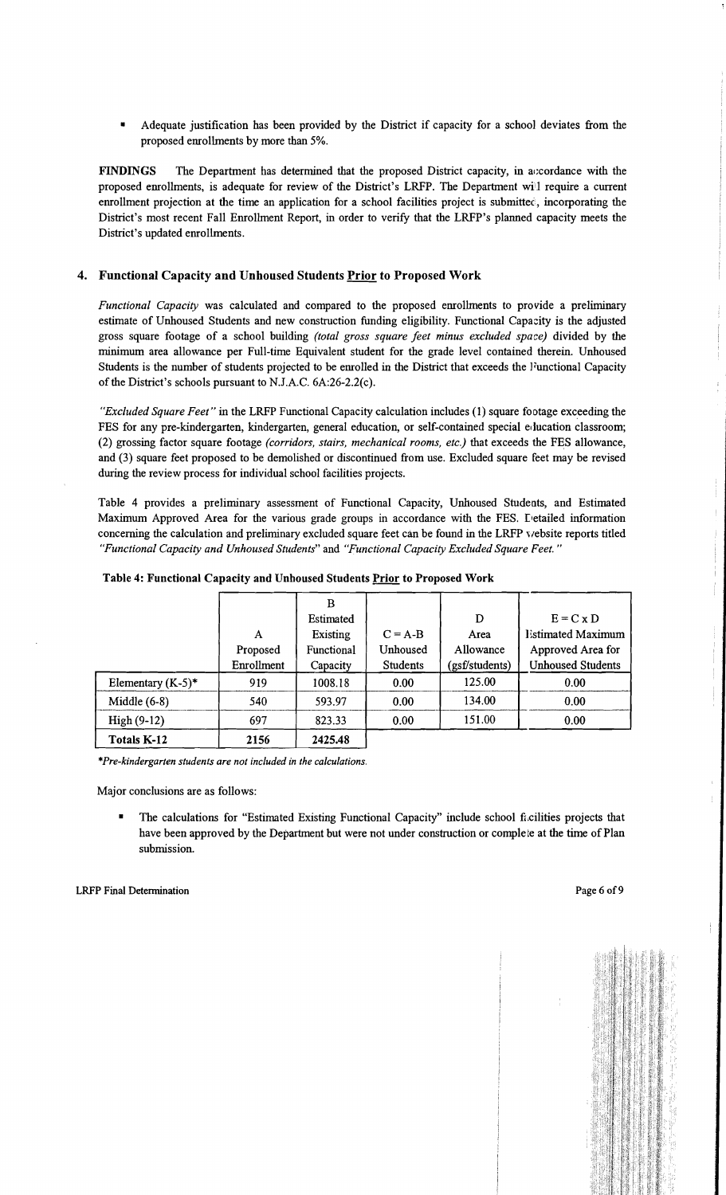Adequate justification has been provided by the District if capacity for a school deviates from the proposed enrollments by more than 5%.

FINDINGS The Department has determined that the proposed District capacity, in accordance with the proposed enrollments, is adequate for review of the District's LRFP. The Department wiil require a current enrollment projection at the time an application for a school facilities project is submittec, incorporating the District's most recent Fall Enrollment Report, in order to verify that the LRFP's planned capacity meets the District's updated enrollments.

#### 4. Functional Capacity and Unhoused Students Prior to Proposed Work

*Functional Capacity* was calculated and compared to the proposed enrollments to provide a preliminary estimate of Unhoused Students and new construction funding eligibility. Functional Capacity is the adjusted gross square footage of a school building *(total gross square feet minus excluded space)* divided by the minimum area allowance per Full-time Equivalent student for the grade level contained therein. Unhoused Students is the number of students projected to be enrolled in the District that exceeds the Functional Capacity of the District's schools pursuant to N.J.A.C. 6A:26-2.2(c).

*"Excluded Square Feet"* in the LRFP Functional Capacity calculation includes (1) square footage exceeding the FES for any pre-kindergarten, kindergarten, general education, or self-contained special education classroom; (2) grossing factor square footage *(corridors, stairs, mechanical rooms, etc.)* that exceeds the FES allowance, and (3) square feet proposed to be demolished or discontinued from use. Excluded square feet may be revised during the review process for individual school facilities projects.

Table 4 provides a preliminary assessment of Functional Capacity, Unhoused Students, and Estimated Maximum Approved Area for the various grade groups in accordance with the FES. Detailed information concerning the calculation and preliminary excluded square feet can be found in the LRFP v/ebsite reports titled *"Functional Capacity and Unhoused Students"* and *"Functional Capacity Excluded Square Feet. "* 

|                      |            | в          |                 |                |                          |
|----------------------|------------|------------|-----------------|----------------|--------------------------|
|                      |            | Estimated  |                 | D              | $E = C \times D$         |
|                      | A          | Existing   | $C = A-B$       | Area           | <b>Estimated Maximum</b> |
|                      | Proposed   | Functional | <b>Unhoused</b> | Allowance      | Approved Area for        |
|                      | Enrollment | Capacity   | <b>Students</b> | (gsf/students) | <b>Unhoused Students</b> |
| Elementary $(K-5)^*$ | 919        | 1008.18    | 0.00            | 125.00         | 0.00                     |
| Middle $(6-8)$       | 540        | 593.97     | 0.00            | 134.00         | 0.00                     |
| $High (9-12)$        | 697        | 823.33     | 0.00            | 151.00         | 0.00                     |
| Totals K-12          | 2156       | 2425.48    |                 |                |                          |

|  | Table 4: Functional Capacity and Unhoused Students Prior to Proposed Work |  |
|--|---------------------------------------------------------------------------|--|
|  |                                                                           |  |

*\*Pre-kindergarten students are not included in the calculations.* 

Major conclusions are as follows:

• The calculations for "Estimated Existing Functional Capacity" include school facilities projects that have been approved by the Department but were not under construction or complete at the time of Plan submission.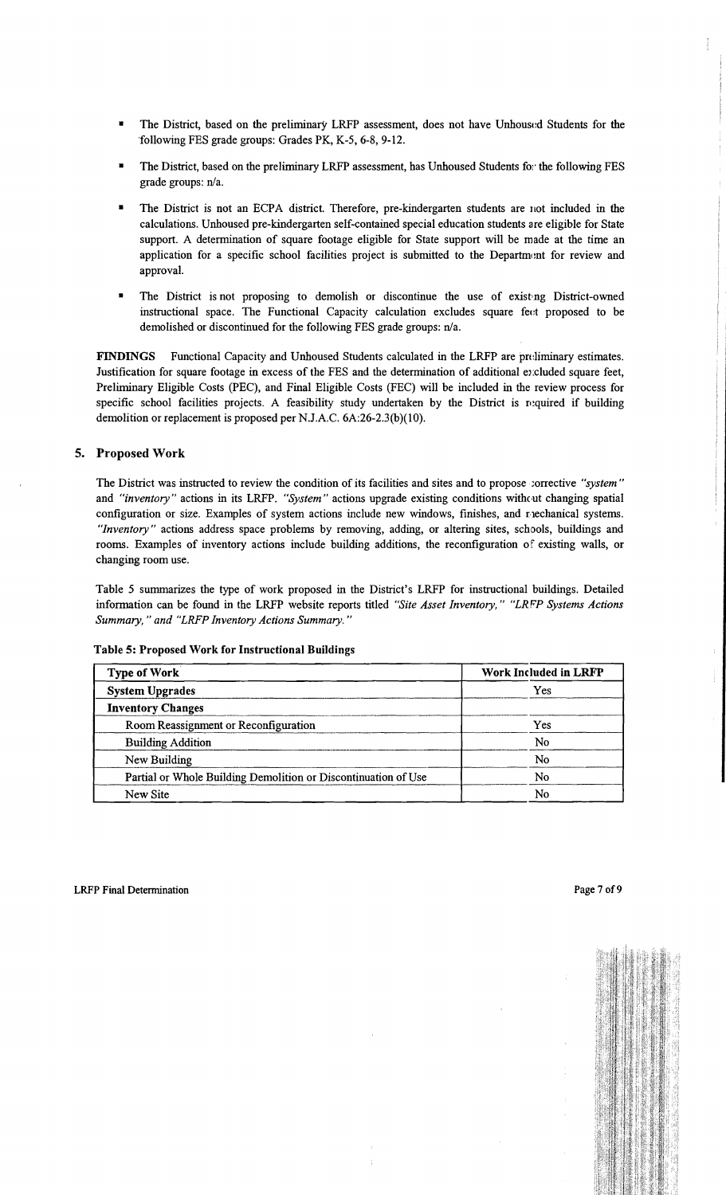- The District, based on the preliminary LRFP assessment, does not have Unhoused Students for the following FES grade groups: Grades PK, K-5, 6-8, 9-12.
- The District, based on the preliminary LRFP assessment, has Unhoused Students for the following FES grade groups: n/a.
- The District is not an ECPA district. Therefore, pre-kindergarten students are not included in the calculations. Unhoused pre-kindergarten self-contained special education students are eligible for State support. A determination of square footage eligible for State support will be made at the time an application for a specific school facilities project is submitted to the Department for review and approval.
- The District is not proposing to demolish or discontinue the use of existing District-owned instructional space. The Functional Capacity calculation excludes square feet proposed to be demolished or discontinued for the following FES grade groups: n/a.

FINDINGS Functional Capacity and Unhoused Students calculated in the LRFP are pn:liminary estimates. Justification for square footage in excess of the FES and the determination of additional excluded square feet, Preliminary Eligible Costs (PEC), and Final Eligible Costs (FEC) will be included in the review process for specific school facilities projects. A feasibility study undertaken by the District is required if building demolition or replacement is proposed per N.J.A.C. 6A:26-2.3(b)(10).

# 5. Proposed Work

The District was instructed to review the condition of its facilities and sites and to propose;orrective *"system"*  and *"inventory"* actions in its LRFP. *"System"* actions upgrade existing conditions witheut changing spatial configuration or size. Examples of system actions include new windows, finishes, and nechanical systems. *"Inventory"* actions address space problems by removing, adding, or altering sites, schools, buildings and rooms. Examples of inventory actions include building additions, the reconfiguration of existing walls, or changing room use.

Table 5 summarizes the type of work proposed in the District's LRFP for instructional buildings. Detailed infonnation can be found in the LRFP website reports titled *"Site Asset Inventory," "LRPP Systems Actions Summary,* " *and "LRFP Inventory Actions Summary. "* 

| <b>Type of Work</b>                                            | Work Included in LRFP |
|----------------------------------------------------------------|-----------------------|
| <b>System Upgrades</b>                                         | Yes                   |
| <b>Inventory Changes</b>                                       |                       |
| Room Reassignment or Reconfiguration                           | Yes                   |
| <b>Building Addition</b>                                       | No                    |
| New Building                                                   | No                    |
| Partial or Whole Building Demolition or Discontinuation of Use | No                    |
| New Site                                                       | No                    |

#### Table 5: Proposed Work for Instructional Buildings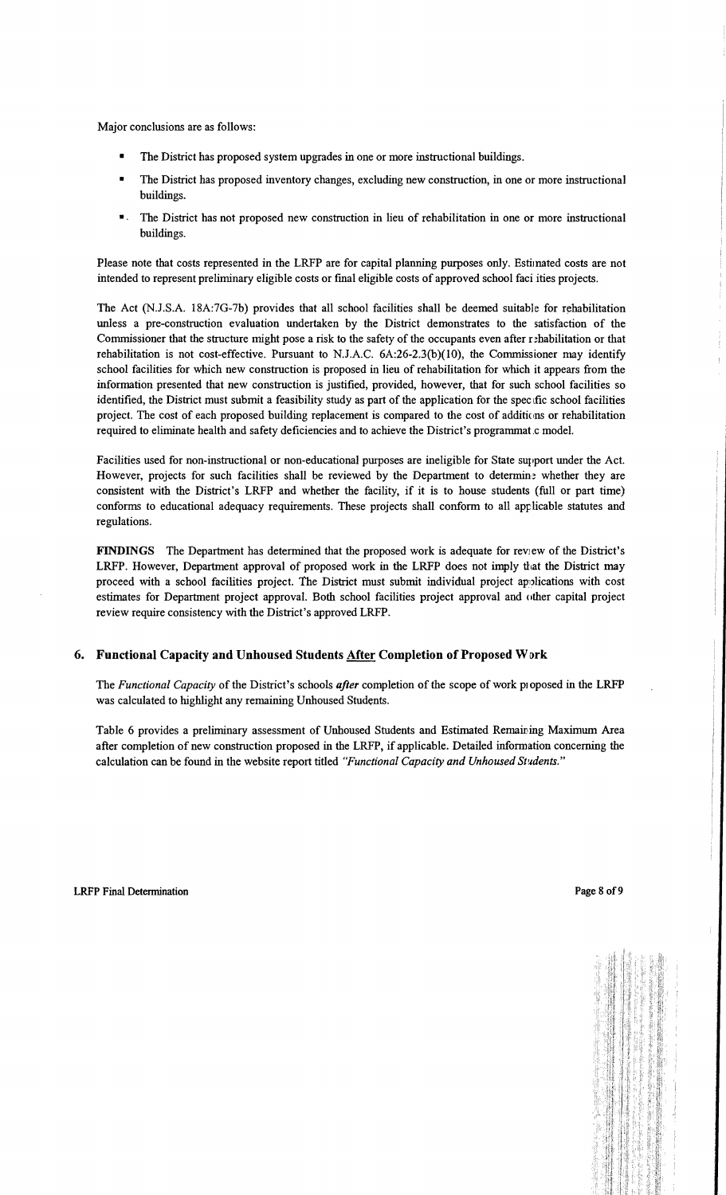Major conclusions are as follows:

- The District has proposed system upgrades in one or more instructional buildings.
- The District has proposed inventory changes, excluding new construction, in one or more instructional buildings.
- The District has not proposed new construction in lieu of rehabilitation in one or more instructional buildings.

Please note that costs represented in the LRFP are for capital planning purposes only. Estimated costs are not intended to represent preliminary eligible costs or fmal eligible costs of approved school faci ities projects.

The Act (N.J.S.A. 18A:7G-7b) provides that all school facilities shall be deemed suitable for rehabilitation unless a pre-construction evaluation undertaken by the District demonstrates to the satisfaction of the Commissioner that the structure might pose a risk to the safety of the occupants even after rehabilitation or that rehabilitation is not cost-effective. Pursuant to N.J.A.C.  $6A:26-2.3(b)(10)$ , the Commissioner may identify school facilities for which new construction is proposed in lieu of rehabilitation for which it appears from the information presented that new construction is justified, provided, however, that for such school facilities so identified, the District must submit a feasibility study as part of the application for the spec fic school facilities project. The cost of each proposed building replacement is compared to the cost of additions or rehabilitation required to eliminate health and safety deficiencies and to achieve the District's programmat.c model.

Facilities used for non-instructional or non-educational purposes are ineligible for State support under the Act. However, projects for such facilities shall be reviewed by the Department to determine whether they are consistent with the District's LRFP and whether the facility, if it is to house students (full or part time) conforms to educational adequacy requirements. These projects shall conform to all applicable statutes and regulations.

FINDINGS The Department has determined that the proposed work is adequate for review of the District's LRFP. However, Department approval of proposed work in the LRFP does not imply that the District may proceed with a school facilities project. The District must submit individual project applications with cost estimates for Department project approval. Both school facilities project approval and other capital project review require consistency with the District's approved LRFP.

#### 6. Functional Capacity and Unhoused Students After Completion of Proposed Work

The *Functional Capacity* of the District's schools *after* completion of the scope of work pioposed in the LRFP was calculated to highlight any remaining Unhoused Students.

Table 6 provides a preliminary assessment of Unhoused Students and Estimated Remaining Maximum Area after completion of new construction proposed in the LRFP, if applicable. Detailed infonnation concerning the calculation can be found in the website report titled "Functional Capacity and Unhoused Students."